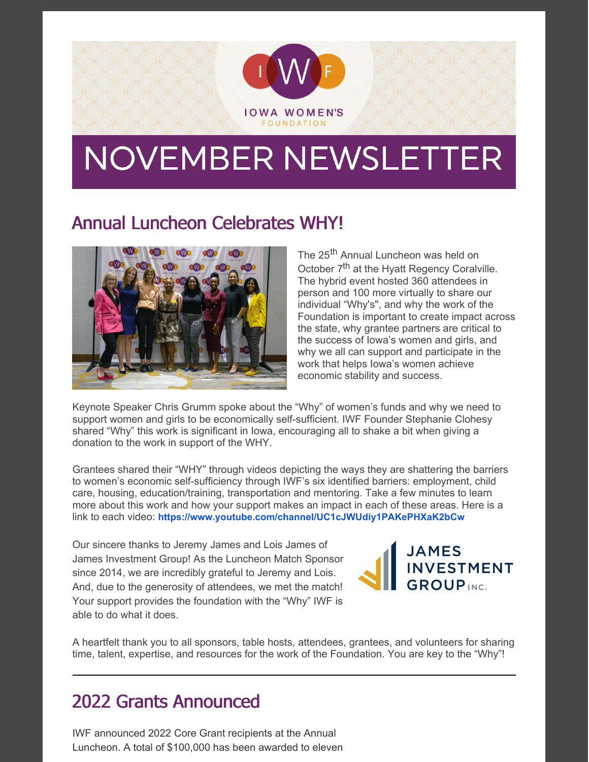

# NOVEMBER NEWSLETTER

#### Annual Luncheon Celebrates WHY!



The 25<sup>th</sup> Annual Luncheon was held on October 7<sup>th</sup> at the Hyatt Regency Coralville. The hybrid event hosted 360 attendees in person and 100 more virtually to share our individual "Why's", and why the work of the Foundation is important to create impact across the state, why grantee partners are critical to the success of Iowa's women and girls, and why we all can support and participate in the work that helps Iowa's women achieve economic stability and success.

Keynote Speaker Chris Grumm spoke about the "Why" of women's funds and why we need to support women and girls to be economically self-sufficient. IWF Founder Stephanie Clohesy shared "Why" this work is significant in Iowa, encouraging all to shake a bit when giving a donation to the work in support of the WHY.

Grantees shared their "WHY" through videos depicting the ways they are shattering the barriers to women's economic self-sufficiency through IWF's six identified barriers: employment, child care, housing, education/training, transportation and mentoring. Take a few minutes to learn more about this work and how your support makes an impact in each of these areas. Here is a link to each video: **<https://www.youtube.com/channel/UC1cJWUdiy1PAKePHXaK2bCw>**

Our sincere thanks to Jeremy James and Lois James of James Investment Group! As the Luncheon Match Sponsor since 2014, we are incredibly grateful to Jeremy and Lois. And, due to the generosity of attendees, we met the match! Your support provides the foundation with the "Why" IWF is able to do what it does.



A heartfelt thank you to all sponsors, table hosts, attendees, grantees, and volunteers for sharing time, talent, expertise, and resources for the work of the Foundation. You are key to the "Why"!

## 2022 Grants Announced

IWF announced 2022 Core Grant recipients at the Annual Luncheon. A total of \$100,000 has been awarded to eleven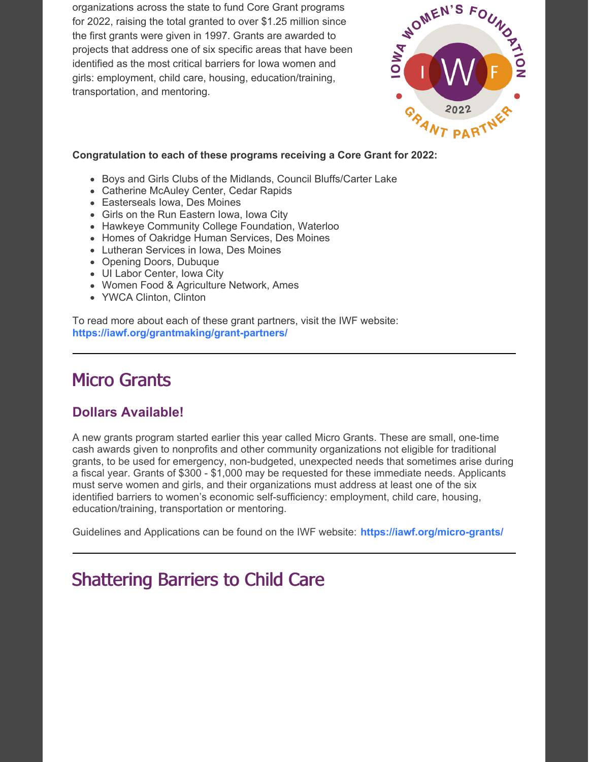organizations across the state to fund Core Grant programs for 2022, raising the total granted to over \$1.25 million since the first grants were given in 1997. Grants are awarded to projects that address one of six specific areas that have been identified as the most critical barriers for Iowa women and girls: employment, child care, housing, education/training, transportation, and mentoring.



#### **[Congratulation](https://app.constantcontact.com/pages/campaigns/email#) to each of these programs receiving a Core Grant for 2022:**

- Boys and Girls Clubs of the Midlands, Council Bluffs/Carter Lake
- Catherine McAuley Center, Cedar Rapids
- Easterseals Iowa, Des Moines
- Girls on the Run Eastern Iowa, Iowa City
- Hawkeye Community College Foundation, Waterloo
- Homes of Oakridge Human Services, Des Moines
- Lutheran Services in Iowa, Des Moines
- Opening Doors, Dubuque
- UI Labor Center, Iowa City
- Women Food & Agriculture Network, Ames
- YWCA Clinton, Clinton

To read more about each of these grant partners, visit the IWF website: **<https://iawf.org/grantmaking/grant-partners/>**

#### Micro Grants

#### **Dollars Available!**

A new grants program started earlier this year called Micro Grants. These are small, one-time cash awards given to nonprofits and other community organizations not eligible for traditional grants, to be used for emergency, non-budgeted, unexpected needs that sometimes arise during a fiscal year. Grants of \$300 - \$1,000 may be requested for these immediate needs. Applicants must serve women and girls, and their organizations must address at least one of the six identified barriers to women's economic self-sufficiency: employment, child care, housing, education/training, transportation or mentoring.

Guidelines and Applications can be found on the IWF website: **<https://iawf.org/micro-grants/>**

## Shattering Barriers to Child Care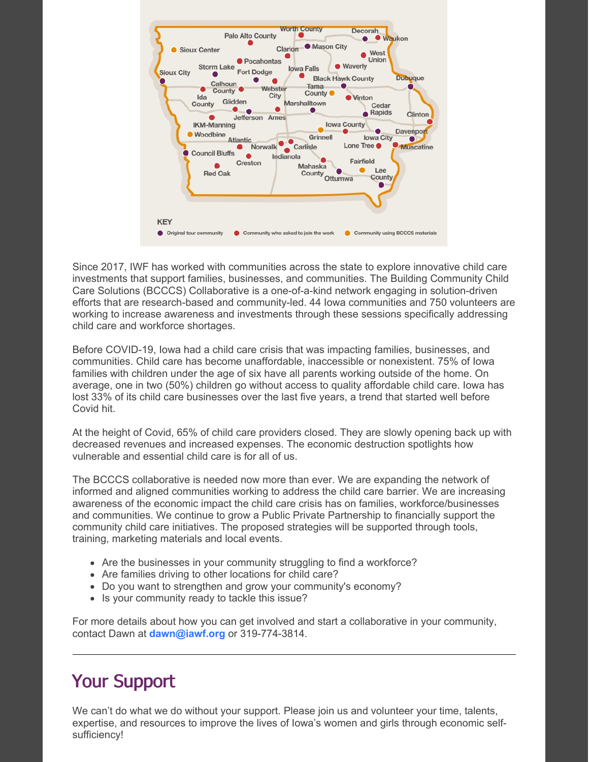

Since 2017, IWF has worked with communities across the state to explore innovative child care investments that support families, businesses, and communities. The Building Community Child Care Solutions (BCCCS) Collaborative is a one-of-a-kind network engaging in solution-driven efforts that are research-based and community-led. 44 Iowa communities and 750 volunteers are working to increase awareness and investments through these sessions specifically addressing child care and workforce shortages.

Before COVID-19, Iowa had a child care crisis that was impacting families, businesses, and communities. Child care has become unaffordable, inaccessible or nonexistent. 75% of Iowa families with children under the age of six have all parents working outside of the home. On average, one in two (50%) children go without access to quality affordable child care. Iowa has lost 33% of its child care businesses over the last five years, a trend that started well before Covid hit.

At the height of Covid, 65% of child care providers closed. They are slowly opening back up with decreased revenues and increased expenses. The economic destruction spotlights how vulnerable and essential child care is for all of us.

The BCCCS collaborative is needed now more than ever. We are expanding the network of informed and aligned communities working to address the child care barrier. We are increasing awareness of the economic impact the child care crisis has on families, workforce/businesses and communities. We continue to grow a Public Private Partnership to financially support the community child care initiatives. The proposed strategies will be supported through tools, training, marketing materials and local events.

- Are the businesses in your community struggling to find a workforce?
- Are families driving to other locations for child care?
- Do you want to strengthen and grow your community's economy?
- Is your community ready to tackle this issue?

For more details about how you can get involved and start a collaborative in your community, contact Dawn at **[dawn@iawf.org](mailto:dawn@iawf.org)** or 319-774-3814.

#### Your Support

We can't do what we do without your support. Please join us and volunteer your time, talents, expertise, and resources to improve the lives of Iowa's women and girls through economic selfsufficiency!